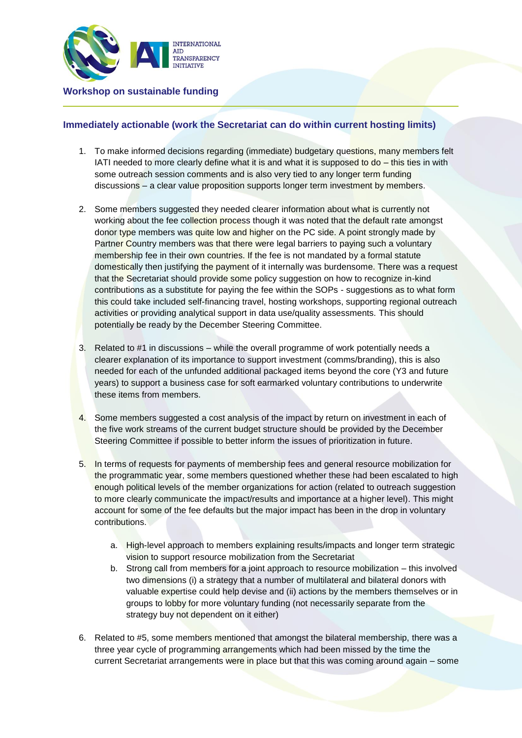

## **Immediately actionable (work the Secretariat can do within current hosting limits)**

- 1. To make informed decisions regarding (immediate) budgetary questions, many members felt IATI needed to more clearly define what it is and what it is supposed to  $do - th$  is ties in with some outreach session comments and is also very tied to any longer term funding discussions – a clear value proposition supports longer term investment by members.
- 2. Some members suggested they needed clearer information about what is currently not working about the fee collection process though it was noted that the default rate amongst donor type members was quite low and higher on the PC side. A point strongly made by Partner Country members was that there were legal barriers to paying such a voluntary membership fee in their own countries. If the fee is not mandated by a formal statute domestically then justifying the payment of it internally was burdensome. There was a request that the Secretariat should provide some policy suggestion on how to recognize in-kind contributions as a substitute for paying the fee within the SOPs - suggestions as to what form this could take included self-financing travel, hosting workshops, supporting regional outreach activities or providing analytical support in data use/quality assessments. This should potentially be ready by the December Steering Committee.
- 3. Related to #1 in discussions while the overall programme of work potentially needs a clearer explanation of its importance to support investment (comms/branding), this is also needed for each of the unfunded additional packaged items beyond the core (Y3 and future years) to support a business case for soft earmarked voluntary contributions to underwrite these items from members.
- 4. Some members suggested a cost analysis of the impact by return on investment in each of the five work streams of the current budget structure should be provided by the December Steering Committee if possible to better inform the issues of prioritization in future.
- 5. In terms of requests for payments of membership fees and general resource mobilization for the programmatic year, some members questioned whether these had been escalated to high enough political levels of the member organizations for action (related to outreach suggestion to more clearly communicate the impact/results and importance at a higher level). This might account for some of the fee defaults but the major impact has been in the drop in voluntary contributions.
	- a. High-level approach to members explaining results/impacts and longer term strategic vision to support resource mobilization from the Secretariat
	- b. Strong call from members for a joint approach to resource mobilization this involved two dimensions (i) a strategy that a number of multilateral and bilateral donors with valuable expertise could help devise and (ii) actions by the members themselves or in groups to lobby for more voluntary funding (not necessarily separate from the strategy buy not dependent on it either)
- 6. Related to #5, some members mentioned that amongst the bilateral membership, there was a three year cycle of programming arrangements which had been missed by the time the current Secretariat arrangements were in place but that this was coming around again – some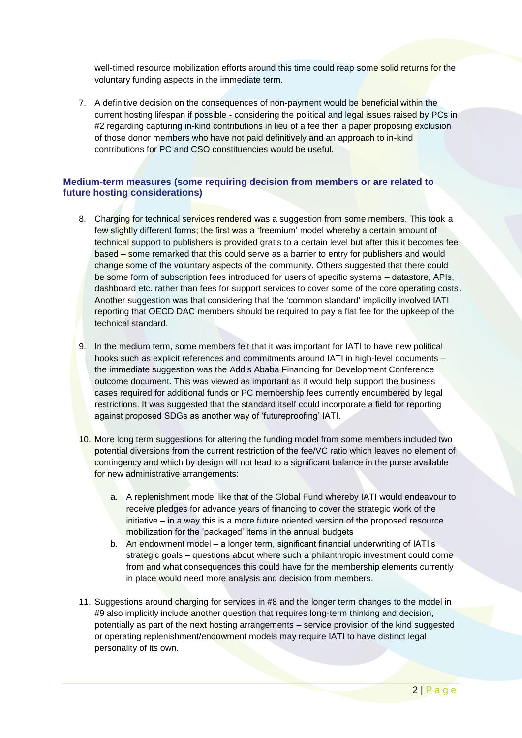well-timed resource mobilization efforts around this time could reap some solid returns for the voluntary funding aspects in the immediate term.

7. A definitive decision on the consequences of non-payment would be beneficial within the current hosting lifespan if possible - considering the political and legal issues raised by PCs in #2 regarding capturing in-kind contributions in lieu of a fee then a paper proposing exclusion of those donor members who have not paid definitively and an approach to in-kind contributions for PC and CSO constituencies would be useful.

## **Medium-term measures (some requiring decision from members or are related to future hosting considerations)**

- 8. Charging for technical services rendered was a suggestion from some members. This took a few slightly different forms; the first was a 'freemium' model whereby a certain amount of technical support to publishers is provided gratis to a certain level but after this it becomes fee based – some remarked that this could serve as a barrier to entry for publishers and would change some of the voluntary aspects of the community. Others suggested that there could be some form of subscription fees introduced for users of specific systems – datastore, APIs, dashboard etc. rather than fees for support services to cover some of the core operating costs. Another suggestion was that considering that the 'common standard' implicitly involved IATI reporting that OECD DAC members should be required to pay a flat fee for the upkeep of the technical standard.
- 9. In the medium term, some members felt that it was important for IATI to have new political hooks such as explicit references and commitments around IATI in high-level documents – the immediate suggestion was the Addis Ababa Financing for Development Conference outcome document. This was viewed as important as it would help support the business cases required for additional funds or PC membership fees currently encumbered by legal restrictions. It was suggested that the standard itself could incorporate a field for reporting against proposed SDGs as another way of 'futureproofing' IATI.
- 10. More long term suggestions for altering the funding model from some members included two potential diversions from the current restriction of the fee/VC ratio which leaves no element of contingency and which by design will not lead to a significant balance in the purse available for new administrative arrangements:
	- a. A replenishment model like that of the Global Fund whereby IATI would endeavour to receive pledges for advance years of financing to cover the strategic work of the initiative – in a way this is a more future oriented version of the proposed resource mobilization for the 'packaged' items in the annual budgets
	- b. An endowment model a longer term, significant financial underwriting of IATI's strategic goals – questions about where such a philanthropic investment could come from and what consequences this could have for the membership elements currently in place would need more analysis and decision from members.
- 11. Suggestions around charging for services in #8 and the longer term changes to the model in #9 also implicitly include another question that requires long-term thinking and decision, potentially as part of the next hosting arrangements – service provision of the kind suggested or operating replenishment/endowment models may require IATI to have distinct legal personality of its own.